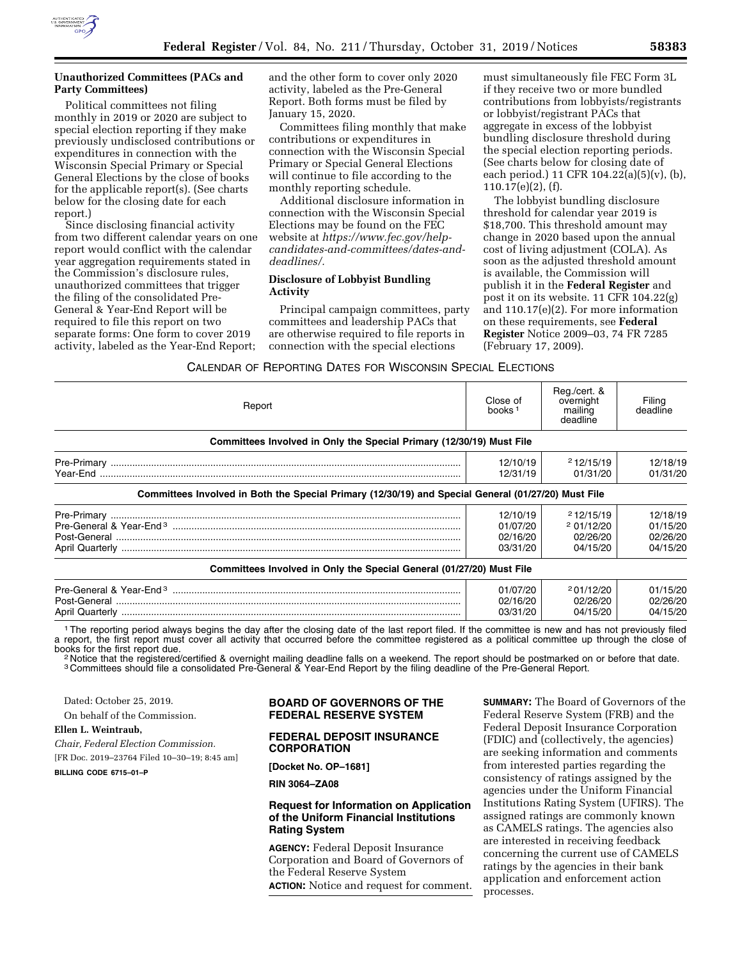

Political committees not filing monthly in 2019 or 2020 are subject to special election reporting if they make previously undisclosed contributions or expenditures in connection with the Wisconsin Special Primary or Special General Elections by the close of books for the applicable report(s). (See charts below for the closing date for each report.)

Since disclosing financial activity from two different calendar years on one report would conflict with the calendar year aggregation requirements stated in the Commission's disclosure rules, unauthorized committees that trigger the filing of the consolidated Pre-General & Year-End Report will be required to file this report on two separate forms: One form to cover 2019 activity, labeled as the Year-End Report;

and the other form to cover only 2020 activity, labeled as the Pre-General Report. Both forms must be filed by January 15, 2020.

Committees filing monthly that make contributions or expenditures in connection with the Wisconsin Special Primary or Special General Elections will continue to file according to the monthly reporting schedule.

Additional disclosure information in connection with the Wisconsin Special Elections may be found on the FEC website at *[https://www.fec.gov/help](https://www.fec.gov/help-candidates-and-committees/dates-and-deadlines/)[candidates-and-committees/dates-and](https://www.fec.gov/help-candidates-and-committees/dates-and-deadlines/)[deadlines/.](https://www.fec.gov/help-candidates-and-committees/dates-and-deadlines/)* 

## **Disclosure of Lobbyist Bundling Activity**

Principal campaign committees, party committees and leadership PACs that are otherwise required to file reports in connection with the special elections

must simultaneously file FEC Form 3L if they receive two or more bundled contributions from lobbyists/registrants or lobbyist/registrant PACs that aggregate in excess of the lobbyist bundling disclosure threshold during the special election reporting periods. (See charts below for closing date of each period.) 11 CFR 104.22(a)(5)(v), (b), 110.17(e)(2), (f).

The lobbyist bundling disclosure threshold for calendar year 2019 is \$18,700. This threshold amount may change in 2020 based upon the annual cost of living adjustment (COLA). As soon as the adjusted threshold amount is available, the Commission will publish it in the **Federal Register** and post it on its website. 11 CFR 104.22(g) and 110.17(e)(2). For more information on these requirements, see **Federal Register** Notice 2009–03, 74 FR 7285 (February 17, 2009).

CALENDAR OF REPORTING DATES FOR WISCONSIN SPECIAL ELECTIONS

| Report                                                                                              | Close of<br>books <sup>1</sup>               | Reg./cert. &<br>overnight<br>mailing<br>deadline | Filing<br>deadline                           |
|-----------------------------------------------------------------------------------------------------|----------------------------------------------|--------------------------------------------------|----------------------------------------------|
| Committees Involved in Only the Special Primary (12/30/19) Must File                                |                                              |                                                  |                                              |
|                                                                                                     | 12/10/19<br>12/31/19                         | 212/15/19<br>01/31/20                            | 12/18/19<br>01/31/20                         |
| Committees Involved in Both the Special Primary (12/30/19) and Special General (01/27/20) Must File |                                              |                                                  |                                              |
|                                                                                                     | 12/10/19<br>01/07/20<br>02/16/20<br>03/31/20 | 212/15/19<br>201/12/20<br>02/26/20<br>04/15/20   | 12/18/19<br>01/15/20<br>02/26/20<br>04/15/20 |
| Committees Involved in Only the Special General (01/27/20) Must File                                |                                              |                                                  |                                              |
|                                                                                                     | 01/07/20<br>02/16/20<br>03/31/20             | 201/12/20<br>02/26/20<br>04/15/20                | 01/15/20<br>02/26/20<br>04/15/20             |

1The reporting period always begins the day after the closing date of the last report filed. If the committee is new and has not previously filed a report, the first report must cover all activity that occurred before the committee registered as a political committee up through the close of<br>books for the first report due. books for the first report due.<br><sup>2</sup> Notice that the registered/certified & overnight mailing deadline falls on a weekend. The report should be postmarked on or before that date.

3 Committees should file a consolidated Pre-General & Year-End Report by the filing deadline of the Pre-General Report.

Dated: October 25, 2019.

On behalf of the Commission.

# **Ellen L. Weintraub,**

*Chair, Federal Election Commission.* 

[FR Doc. 2019–23764 Filed 10–30–19; 8:45 am]

**BILLING CODE 6715–01–P** 

## **BOARD OF GOVERNORS OF THE FEDERAL RESERVE SYSTEM**

# **FEDERAL DEPOSIT INSURANCE CORPORATION**

**[Docket No. OP–1681]** 

**RIN 3064–ZA08** 

# **Request for Information on Application of the Uniform Financial Institutions Rating System**

**AGENCY:** Federal Deposit Insurance Corporation and Board of Governors of the Federal Reserve System **ACTION:** Notice and request for comment. **SUMMARY:** The Board of Governors of the Federal Reserve System (FRB) and the Federal Deposit Insurance Corporation (FDIC) and (collectively, the agencies) are seeking information and comments from interested parties regarding the consistency of ratings assigned by the agencies under the Uniform Financial Institutions Rating System (UFIRS). The assigned ratings are commonly known as CAMELS ratings. The agencies also are interested in receiving feedback concerning the current use of CAMELS ratings by the agencies in their bank application and enforcement action processes.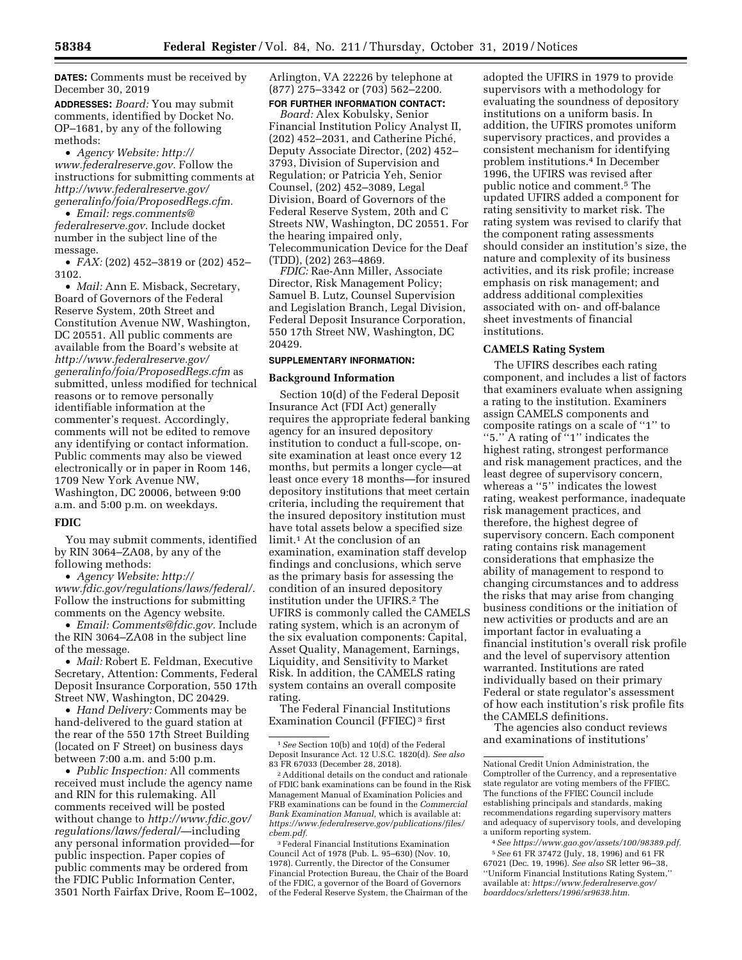**DATES:** Comments must be received by December 30, 2019

**ADDRESSES:** *Board:* You may submit comments, identified by Docket No. OP–1681, by any of the following methods:

• *Agency Website: [http://](http://www.federalreserve.gov) [www.federalreserve.gov.](http://www.federalreserve.gov)* Follow the instructions for submitting comments at *[http://www.federalreserve.gov/](http://www.federalreserve.gov/generalinfo/foia/ProposedRegs.cfm)  [generalinfo/foia/ProposedRegs.cfm.](http://www.federalreserve.gov/generalinfo/foia/ProposedRegs.cfm)* 

• *Email: [regs.comments@](mailto:regs.comments@federalreserve.gov) [federalreserve.gov.](mailto:regs.comments@federalreserve.gov)* Include docket number in the subject line of the message.

• *FAX:* (202) 452–3819 or (202) 452– 3102.

• *Mail:* Ann E. Misback, Secretary, Board of Governors of the Federal Reserve System, 20th Street and Constitution Avenue NW, Washington, DC 20551. All public comments are available from the Board's website at *[http://www.federalreserve.gov/](http://www.federalreserve.gov/generalinfo/foia/ProposedRegs.cfm)  [generalinfo/foia/ProposedRegs.cfm](http://www.federalreserve.gov/generalinfo/foia/ProposedRegs.cfm)* as submitted, unless modified for technical reasons or to remove personally identifiable information at the commenter's request. Accordingly, comments will not be edited to remove any identifying or contact information. Public comments may also be viewed electronically or in paper in Room 146, 1709 New York Avenue NW, Washington, DC 20006, between 9:00 a.m. and 5:00 p.m. on weekdays.

## **FDIC**

You may submit comments, identified by RIN 3064–ZA08, by any of the following methods:

• *Agency Website: [http://](http://www.fdic.gov/regulations/laws/federal/) [www.fdic.gov/regulations/laws/federal/.](http://www.fdic.gov/regulations/laws/federal/)*  Follow the instructions for submitting comments on the Agency website.

• *Email: [Comments@fdic.gov.](mailto:Comments@fdic.gov)* Include the RIN 3064–ZA08 in the subject line of the message.

• *Mail:* Robert E. Feldman, Executive Secretary, Attention: Comments, Federal Deposit Insurance Corporation, 550 17th Street NW, Washington, DC 20429.

• *Hand Delivery:* Comments may be hand-delivered to the guard station at the rear of the 550 17th Street Building (located on F Street) on business days between 7:00 a.m. and 5:00 p.m.

• *Public Inspection:* All comments received must include the agency name and RIN for this rulemaking. All comments received will be posted without change to *[http://www.fdic.gov/](http://www.fdic.gov/regulations/laws/federal/) [regulations/laws/federal/](http://www.fdic.gov/regulations/laws/federal/)*—including any personal information provided—for public inspection. Paper copies of public comments may be ordered from the FDIC Public Information Center, 3501 North Fairfax Drive, Room E–1002, Arlington, VA 22226 by telephone at (877) 275–3342 or (703) 562–2200. **FOR FURTHER INFORMATION CONTACT:** 

*Board:* Alex Kobulsky, Senior Financial Institution Policy Analyst II, (202) 452-2031, and Catherine Piché, Deputy Associate Director, (202) 452– 3793, Division of Supervision and Regulation; or Patricia Yeh, Senior

Counsel, (202) 452–3089, Legal Division, Board of Governors of the Federal Reserve System, 20th and C Streets NW, Washington, DC 20551. For the hearing impaired only, Telecommunication Device for the Deaf (TDD), (202) 263–4869.

*FDIC:* Rae-Ann Miller, Associate Director, Risk Management Policy; Samuel B. Lutz, Counsel Supervision and Legislation Branch, Legal Division, Federal Deposit Insurance Corporation, 550 17th Street NW, Washington, DC 20429.

#### **SUPPLEMENTARY INFORMATION:**

#### **Background Information**

Section 10(d) of the Federal Deposit Insurance Act (FDI Act) generally requires the appropriate federal banking agency for an insured depository institution to conduct a full-scope, onsite examination at least once every 12 months, but permits a longer cycle—at least once every 18 months—for insured depository institutions that meet certain criteria, including the requirement that the insured depository institution must have total assets below a specified size limit.1 At the conclusion of an examination, examination staff develop findings and conclusions, which serve as the primary basis for assessing the condition of an insured depository institution under the UFIRS.2 The UFIRS is commonly called the CAMELS rating system, which is an acronym of the six evaluation components: Capital, Asset Quality, Management, Earnings, Liquidity, and Sensitivity to Market Risk. In addition, the CAMELS rating system contains an overall composite rating.

The Federal Financial Institutions Examination Council (FFIEC) 3 first

3Federal Financial Institutions Examination Council Act of 1978 (Pub. L. 95–630) (Nov. 10, 1978). Currently, the Director of the Consumer Financial Protection Bureau, the Chair of the Board of the FDIC, a governor of the Board of Governors of the Federal Reserve System, the Chairman of the

adopted the UFIRS in 1979 to provide supervisors with a methodology for evaluating the soundness of depository institutions on a uniform basis. In addition, the UFIRS promotes uniform supervisory practices, and provides a consistent mechanism for identifying problem institutions.4 In December 1996, the UFIRS was revised after public notice and comment.5 The updated UFIRS added a component for rating sensitivity to market risk. The rating system was revised to clarify that the component rating assessments should consider an institution's size, the nature and complexity of its business activities, and its risk profile; increase emphasis on risk management; and address additional complexities associated with on- and off-balance sheet investments of financial institutions.

#### **CAMELS Rating System**

The UFIRS describes each rating component, and includes a list of factors that examiners evaluate when assigning a rating to the institution. Examiners assign CAMELS components and composite ratings on a scale of ''1'' to ''5.'' A rating of ''1'' indicates the highest rating, strongest performance and risk management practices, and the least degree of supervisory concern, whereas a "5" indicates the lowest rating, weakest performance, inadequate risk management practices, and therefore, the highest degree of supervisory concern. Each component rating contains risk management considerations that emphasize the ability of management to respond to changing circumstances and to address the risks that may arise from changing business conditions or the initiation of new activities or products and are an important factor in evaluating a financial institution's overall risk profile and the level of supervisory attention warranted. Institutions are rated individually based on their primary Federal or state regulator's assessment of how each institution's risk profile fits the CAMELS definitions.

The agencies also conduct reviews and examinations of institutions'

4*See [https://www.gao.gov/assets/100/98389.pdf.](https://www.gao.gov/assets/100/98389.pdf)*  5*See* 61 FR 37472 (July, 18, 1996) and 61 FR 67021 (Dec. 19, 1996). *See also* SR letter 96–38, ''Uniform Financial Institutions Rating System,'' available at: *[https://www.federalreserve.gov/](https://www.federalreserve.gov/boarddocs/srletters/1996/sr9638.htm)  [boarddocs/srletters/1996/sr9638.htm.](https://www.federalreserve.gov/boarddocs/srletters/1996/sr9638.htm)* 

<sup>1</sup>*See* Section 10(b) and 10(d) of the Federal Deposit Insurance Act. 12 U.S.C. 1820(d). *See also*  83 FR 67033 (December 28, 2018).

<sup>2</sup>Additional details on the conduct and rationale of FDIC bank examinations can be found in the Risk Management Manual of Examination Policies and FRB examinations can be found in the *Commercial Bank Examination Manual,* which is available at: *[https://www.federalreserve.gov/publications/files/](https://www.federalreserve.gov/publications/files/cbem.pdf) [cbem.pdf.](https://www.federalreserve.gov/publications/files/cbem.pdf)* 

National Credit Union Administration, the Comptroller of the Currency, and a representative state regulator are voting members of the FFIEC. The functions of the FFIEC Council include establishing principals and standards, making recommendations regarding supervisory matters and adequacy of supervisory tools, and developing a uniform reporting system.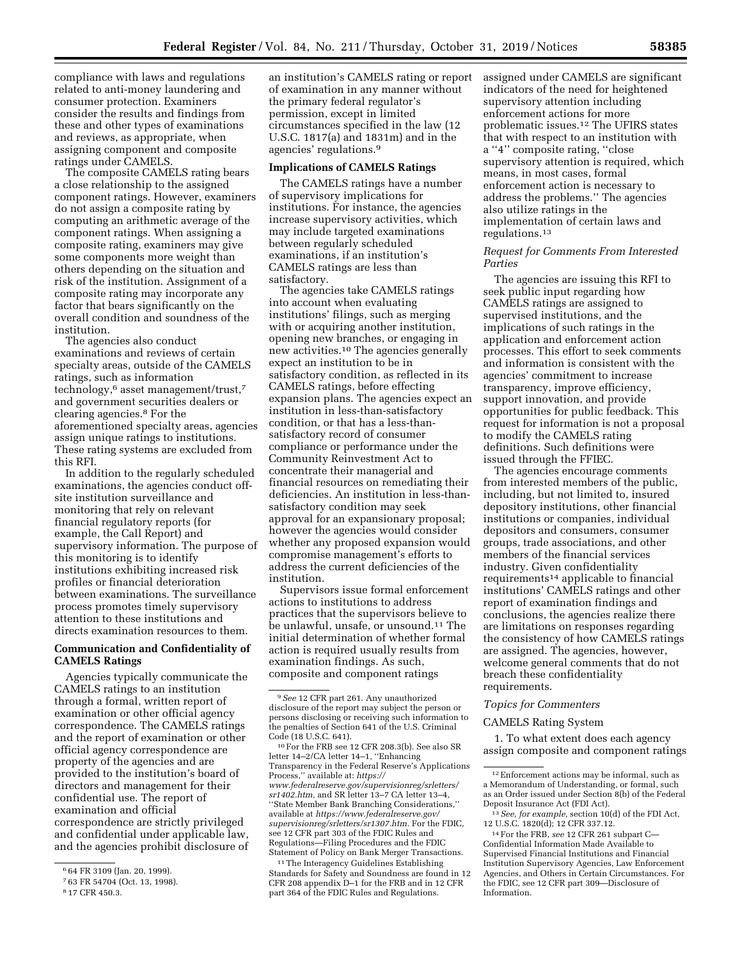compliance with laws and regulations related to anti-money laundering and consumer protection. Examiners consider the results and findings from these and other types of examinations and reviews, as appropriate, when assigning component and composite ratings under CAMELS.

The composite CAMELS rating bears a close relationship to the assigned component ratings. However, examiners do not assign a composite rating by computing an arithmetic average of the component ratings. When assigning a composite rating, examiners may give some components more weight than others depending on the situation and risk of the institution. Assignment of a composite rating may incorporate any factor that bears significantly on the overall condition and soundness of the institution.

The agencies also conduct examinations and reviews of certain specialty areas, outside of the CAMELS ratings, such as information technology,6 asset management/trust,7 and government securities dealers or clearing agencies.8 For the aforementioned specialty areas, agencies assign unique ratings to institutions. These rating systems are excluded from this RFI.

In addition to the regularly scheduled examinations, the agencies conduct offsite institution surveillance and monitoring that rely on relevant financial regulatory reports (for example, the Call Report) and supervisory information. The purpose of this monitoring is to identify institutions exhibiting increased risk profiles or financial deterioration between examinations. The surveillance process promotes timely supervisory attention to these institutions and directs examination resources to them.

# **Communication and Confidentiality of CAMELS Ratings**

Agencies typically communicate the CAMELS ratings to an institution through a formal, written report of examination or other official agency correspondence. The CAMELS ratings and the report of examination or other official agency correspondence are property of the agencies and are provided to the institution's board of directors and management for their confidential use. The report of examination and official correspondence are strictly privileged and confidential under applicable law, and the agencies prohibit disclosure of

an institution's CAMELS rating or report of examination in any manner without the primary federal regulator's permission, except in limited circumstances specified in the law (12 U.S.C. 1817(a) and 1831m) and in the agencies' regulations.9

#### **Implications of CAMELS Ratings**

The CAMELS ratings have a number of supervisory implications for institutions. For instance, the agencies increase supervisory activities, which may include targeted examinations between regularly scheduled examinations, if an institution's CAMELS ratings are less than satisfactory.

The agencies take CAMELS ratings into account when evaluating institutions' filings, such as merging with or acquiring another institution, opening new branches, or engaging in new activities.10 The agencies generally expect an institution to be in satisfactory condition, as reflected in its CAMELS ratings, before effecting expansion plans. The agencies expect an institution in less-than-satisfactory condition, or that has a less-thansatisfactory record of consumer compliance or performance under the Community Reinvestment Act to concentrate their managerial and financial resources on remediating their deficiencies. An institution in less-thansatisfactory condition may seek approval for an expansionary proposal; however the agencies would consider whether any proposed expansion would compromise management's efforts to address the current deficiencies of the institution.

Supervisors issue formal enforcement actions to institutions to address practices that the supervisors believe to be unlawful, unsafe, or unsound.11 The initial determination of whether formal action is required usually results from examination findings. As such, composite and component ratings

10For the FRB see 12 CFR 208.3(b). See also SR letter 14–2/CA letter 14–1, ''Enhancing Transparency in the Federal Reserve's Applications Process,'' available at: *[https://](https://www.federalreserve.gov/supervisionreg/srletters/sr1402.htm) [www.federalreserve.gov/supervisionreg/srletters/](https://www.federalreserve.gov/supervisionreg/srletters/sr1402.htm)  [sr1402.htm,](https://www.federalreserve.gov/supervisionreg/srletters/sr1402.htm)* and SR letter 13–7 CA letter 13–4, ''State Member Bank Branching Considerations,'' available at *[https://www.federalreserve.gov/](https://www.federalreserve.gov/supervisionreg/srletters/sr1307.htm)  [supervisionreg/srletters/sr1307.htm.](https://www.federalreserve.gov/supervisionreg/srletters/sr1307.htm)* For the FDIC, see 12 CFR part 303 of the FDIC Rules and Regulations—Filing Procedures and the FDIC Statement of Policy on Bank Merger Transactions.

11The Interagency Guidelines Establishing Standards for Safety and Soundness are found in 12 CFR 208 appendix D–1 for the FRB and in 12 CFR part 364 of the FDIC Rules and Regulations.

assigned under CAMELS are significant indicators of the need for heightened supervisory attention including enforcement actions for more problematic issues.12 The UFIRS states that with respect to an institution with a ''4'' composite rating, ''close supervisory attention is required, which means, in most cases, formal enforcement action is necessary to address the problems.'' The agencies also utilize ratings in the implementation of certain laws and regulations.13

# *Request for Comments From Interested Parties*

The agencies are issuing this RFI to seek public input regarding how CAMELS ratings are assigned to supervised institutions, and the implications of such ratings in the application and enforcement action processes. This effort to seek comments and information is consistent with the agencies' commitment to increase transparency, improve efficiency, support innovation, and provide opportunities for public feedback. This request for information is not a proposal to modify the CAMELS rating definitions. Such definitions were issued through the FFIEC.

The agencies encourage comments from interested members of the public, including, but not limited to, insured depository institutions, other financial institutions or companies, individual depositors and consumers, consumer groups, trade associations, and other members of the financial services industry. Given confidentiality requirements14 applicable to financial institutions' CAMELS ratings and other report of examination findings and conclusions, the agencies realize there are limitations on responses regarding the consistency of how CAMELS ratings are assigned. The agencies, however, welcome general comments that do not breach these confidentiality requirements.

#### *Topics for Commenters*

#### CAMELS Rating System

1. To what extent does each agency assign composite and component ratings

<sup>6</sup> 64 FR 3109 (Jan. 20, 1999).

<sup>7</sup> 63 FR 54704 (Oct. 13, 1998).

<sup>8</sup> 17 CFR 450.3.

<sup>9</sup>*See* 12 CFR part 261. Any unauthorized disclosure of the report may subject the person or persons disclosing or receiving such information to the penalties of Section 641 of the U.S. Criminal Code (18 U.S.C. 641).

<sup>12</sup>Enforcement actions may be informal, such as a Memorandum of Understanding, or formal, such as an Order issued under Section 8(b) of the Federal Deposit Insurance Act (FDI Act).

<sup>13</sup>*See, for example,* section 10(d) of the FDI Act, 12 U.S.C. 1820(d); 12 CFR 337.12.

<sup>14</sup>For the FRB, *see* 12 CFR 261 subpart C— Confidential Information Made Available to Supervised Financial Institutions and Financial Institution Supervisory Agencies, Law Enforcement Agencies, and Others in Certain Circumstances. For the FDIC, see 12 CFR part 309—Disclosure of Information.